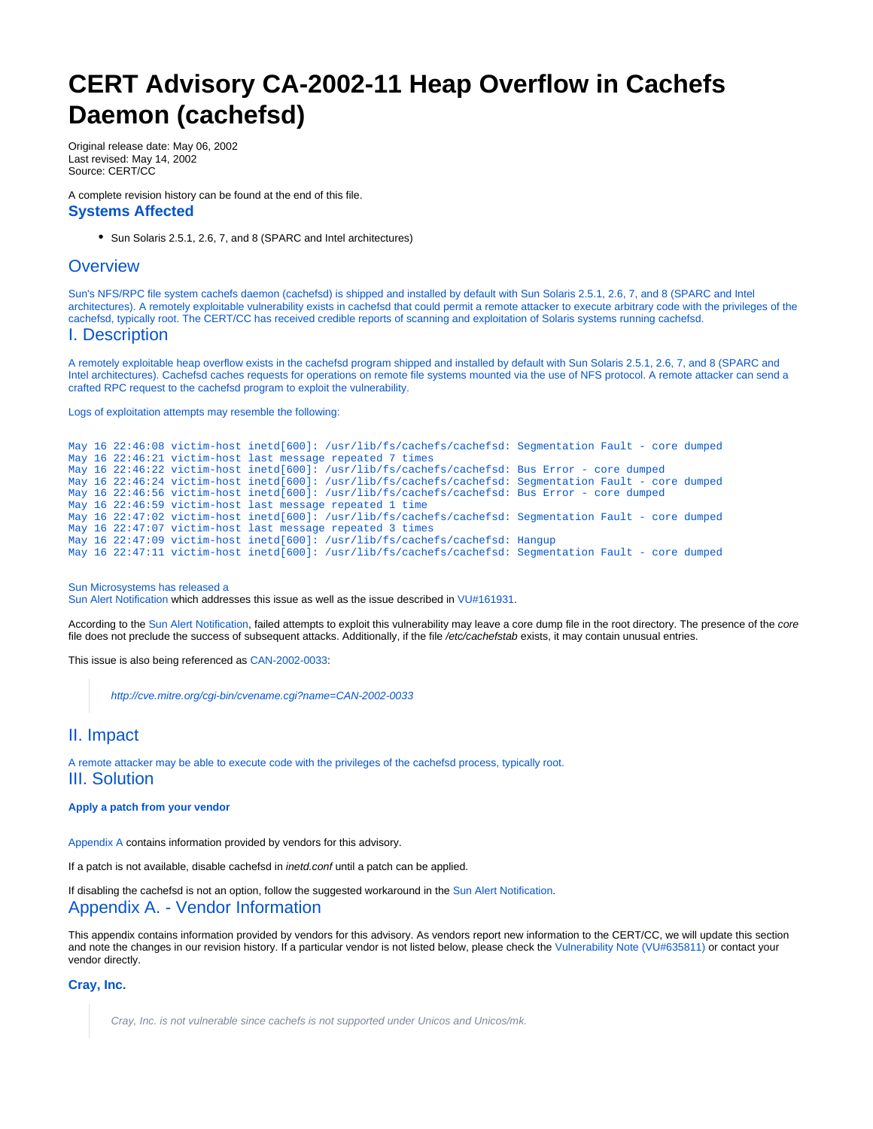# <span id="page-0-0"></span>**CERT Advisory CA-2002-11 Heap Overflow in Cachefs Daemon (cachefsd)**

Original release date: May 06, 2002 Last revised: May 14, 2002 Source: CERT/CC

A complete revision history can be found at the end of this file. **Systems Affected**

Sun Solaris 2.5.1, 2.6, 7, and 8 (SPARC and Intel architectures)

# **Overview**

Sun's NFS/RPC file system cachefs daemon (cachefsd) is shipped and installed by default with Sun Solaris 2.5.1, 2.6, 7, and 8 (SPARC and Intel architectures). A remotely exploitable vulnerability exists in cachefsd that could permit a remote attacker to execute arbitrary code with the privileges of the cachefsd, typically root. The CERT/CC has received credible reports of scanning and exploitation of Solaris systems running cachefsd.

# I. Description

A remotely exploitable heap overflow exists in the cachefsd program shipped and installed by default with Sun Solaris 2.5.1, 2.6, 7, and 8 (SPARC and Intel architectures). Cachefsd caches requests for operations on remote file systems mounted via the use of NFS protocol. A remote attacker can send a crafted RPC request to the cachefsd program to exploit the vulnerability.

Logs of exploitation attempts may resemble the following:

```
May 16 22:46:08 victim-host inetd[600]: /usr/lib/fs/cachefs/cachefsd: Segmentation Fault - core dumped
May 16 22:46:21 victim-host last message repeated 7 times
May 16 22:46:22 victim-host inetd[600]: /usr/lib/fs/cachefs/cachefsd: Bus Error - core dumped
May 16 22:46:24 victim-host inetd[600]: /usr/lib/fs/cachefs/cachefsd: Segmentation Fault - core dumped
May 16 22:46:56 victim-host inetd[600]: /usr/lib/fs/cachefs/cachefsd: Bus Error - core dumped
May 16 22:46:59 victim-host last message repeated 1 time
May 16 22:47:02 victim-host inetd[600]: /usr/lib/fs/cachefs/cachefsd: Segmentation Fault - core dumped
May 16 22:47:07 victim-host last message repeated 3 times
May 16 22:47:09 victim-host inetd[600]: /usr/lib/fs/cachefs/cachefsd: Hangup
May 16 22:47:11 victim-host inetd[600]: /usr/lib/fs/cachefs/cachefsd: Segmentation Fault - core dumped
```
#### Sun Microsystems has released a

[Sun Alert Notification](http://sunsolve.sun.com/pub-cgi/retrieve.pl?doc=fsalert%2F44309) which addresses this issue as well as the issue described in [VU#161931.](http://www.kb.cert.org/vuls/id/161931)

According to the [Sun Alert Notification](http://sunsolve.sun.com/pub-cgi/retrieve.pl?doc=fsalert%2F44309), failed attempts to exploit this vulnerability may leave a core dump file in the root directory. The presence of the core file does not preclude the success of subsequent attacks. Additionally, if the file /etc/cachefstab exists, it may contain unusual entries.

This issue is also being referenced as [CAN-2002-0033:](http://cve.mitre.org/cgi-bin/cvename.cgi?name=CAN-2002-0033)

<http://cve.mitre.org/cgi-bin/cvename.cgi?name=CAN-2002-0033>

## II. Impact

A remote attacker may be able to execute code with the privileges of the cachefsd process, typically root. III. Solution

#### **Apply a patch from your vendor**

[Appendix A](#page-0-0) contains information provided by vendors for this advisory.

If a patch is not available, disable cachefsd in inetd.conf until a patch can be applied.

If disabling the cachefsd is not an option, follow the suggested workaround in the [Sun Alert Notification.](http://sunsolve.sun.com/pub-cgi/retrieve.pl?doc=fsalert%2F44309) Appendix A. - Vendor Information

This appendix contains information provided by vendors for this advisory. As vendors report new information to the CERT/CC, we will update this section and note the changes in our revision history. If a particular vendor is not listed below, please check the [Vulnerability Note \(VU#635811\)](http://www.kb.cert.org/vuls/id/635811) or contact your vendor directly.

#### **[Cray, Inc.](http://www.cray.com)**

Cray, Inc. is not vulnerable since cachefs is not supported under Unicos and Unicos/mk.